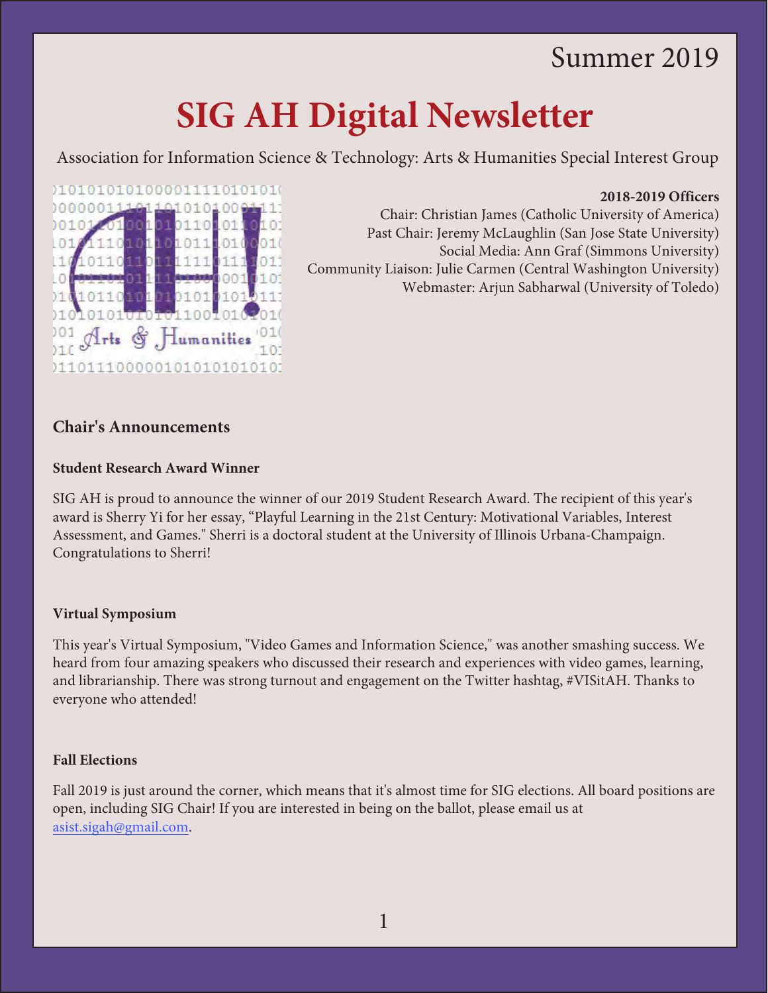# Summer 2019

# **SIG AH Digital Newsletter**

Association for Information Science & Technology: Arts & Humanities Special Interest Group

#### **2018-2019 Officers**

Chair: Christian James (Catholic University of America) Past Chair: Jeremy McLaughlin (San Jose State University) Social Media: Ann Graf (Simmons University) Community Liaison: Julie Carmen (Central Washington University) Webmaster: Arjun Sabharwal (University of Toledo)

# **Chair's Announcements**

#### **Student Research Award Winner**

010101010100000111101010101

Arts & Humanities

0110111000001010101010101

101  $01$ 10101110100010

 $11$ 

10

101

 $_{0}$ 

L0

 $01$ 

90  $31($ 

101

SIG AH is proud to announce the winner of our 2019 Student Research Award. The recipient of this year's award is Sherry Yi for her essay, "Playful Learning in the 21st Century: Motivational Variables, Interest Assessment, and Games." Sherri is a doctoral student at the University of Illinois Urbana-Champaign. Congratulations to Sherri!

#### **Virtual Symposium**

This year's Virtual Symposium, "Video Games and Information Science," was another smashing success. We heard from four amazing speakers who discussed their research and experiences with video games, learning, and librarianship. There was strong turnout and engagement on the Twitter hashtag, #VISitAH. Thanks to everyone who attended!

#### **Fall Elections**

Fall 2019 is just around the corner, which means that it's almost time for SIG elections. All board positions are open, including SIG Chair! If you are interested in being on the ballot, please email us at [asist.sigah@gmail.com.](mailto:asist.sigah@gmail.com)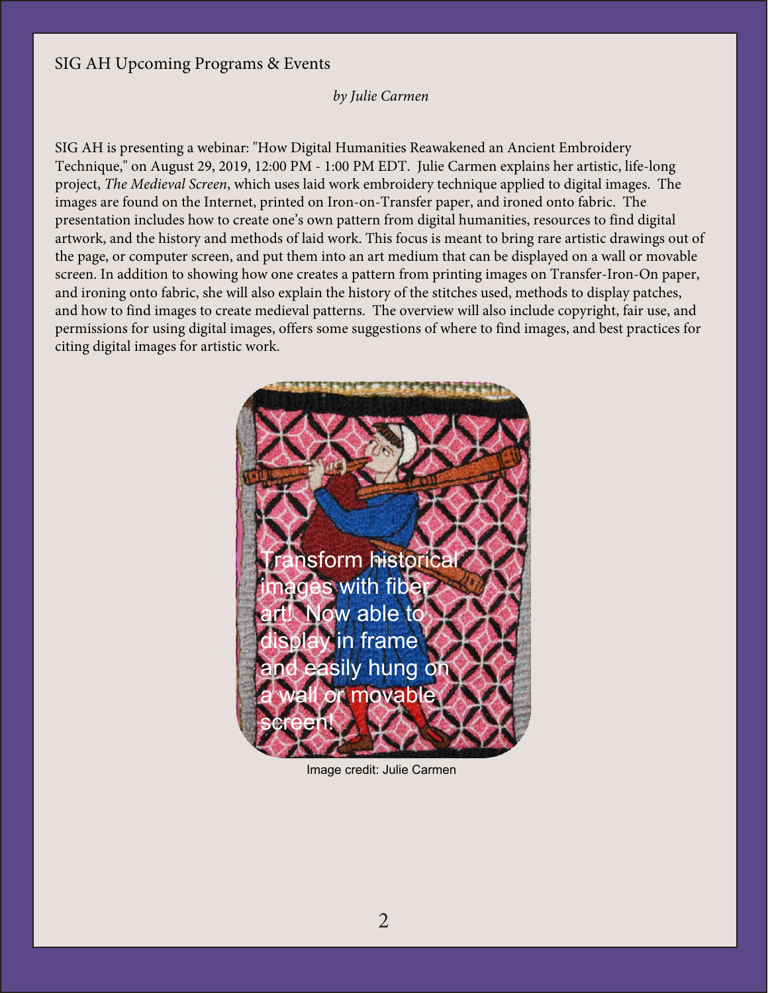### SIG AH Upcoming Programs & Events

#### *by Julie Carmen*

SIG AH is presenting a webinar: "How Digital Humanities Reawakened an Ancient Embroidery Technique," on August 29, 2019, 12:00 PM - 1:00 PM EDT. Julie Carmen explains her artistic, life-long project, *The Medieval Screen*, which uses laid work embroidery technique applied to digital images. The images are found on the Internet, printed on Iron-on-Transfer paper, and ironed onto fabric. The presentation includes how to create one's own pattern from digital humanities, resources to find digital artwork, and the history and methods of laid work. This focus is meant to bring rare artistic drawings out of the page, or computer screen, and put them into an art medium that can be displayed on a wall or movable screen. In addition to showing how one creates a pattern from printing images on Transfer-Iron-On paper, and ironing onto fabric, she will also explain the history of the stitches used, methods to display patches, and how to find images to create medieval patterns. The overview will also include copyright, fair use, and permissions for using digital images, offers some suggestions of where to find images, and best practices for citing digital images for artistic work.



Image credit: Julie Carmen